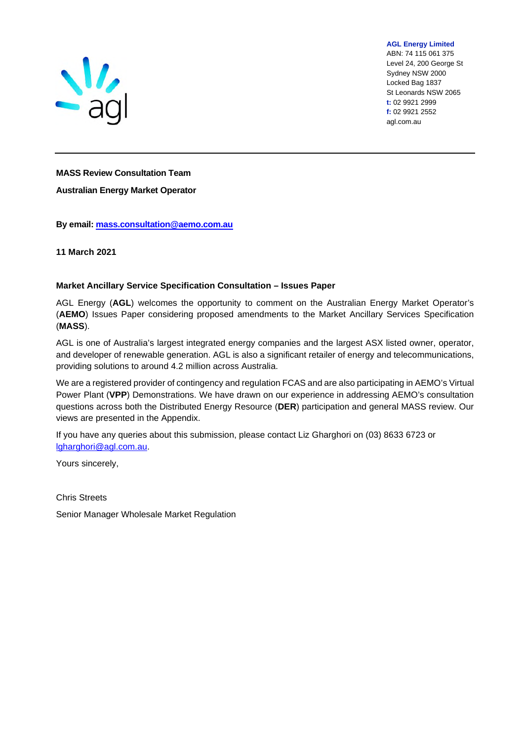

**AGL Energy Limited** 

ABN: 74 115 061 375 Level 24, 200 George St Sydney NSW 2000 Locked Bag 1837 St Leonards NSW 2065 **t:** 02 9921 2999 **f:** 02 9921 2552 agl.com.au

#### **MASS Review Consultation Team**

**Australian Energy Market Operator** 

**By email: [mass.consultation@aemo.com.au](mailto:mass.consultation@aemo.com.au)** 

**11 March 2021** 

#### **Market Ancillary Service Specification Consultation – Issues Paper**

AGL Energy (**AGL**) welcomes the opportunity to comment on the Australian Energy Market Operator's (**AEMO**) Issues Paper considering proposed amendments to the Market Ancillary Services Specification (**MASS**).

AGL is one of Australia's largest integrated energy companies and the largest ASX listed owner, operator, and developer of renewable generation. AGL is also a significant retailer of energy and telecommunications, providing solutions to around 4.2 million across Australia.

We are a registered provider of contingency and regulation FCAS and are also participating in AEMO's Virtual Power Plant (**VPP**) Demonstrations. We have drawn on our experience in addressing AEMO's consultation questions across both the Distributed Energy Resource (**DER**) participation and general MASS review. Our views are presented in the Appendix.

If you have any queries about this submission, please contact Liz Gharghori on (03) 8633 6723 or [lgharghori@agl.com.au.](mailto:lgharghori@agl.com.au)

Yours sincerely,

Chris Streets

Senior Manager Wholesale Market Regulation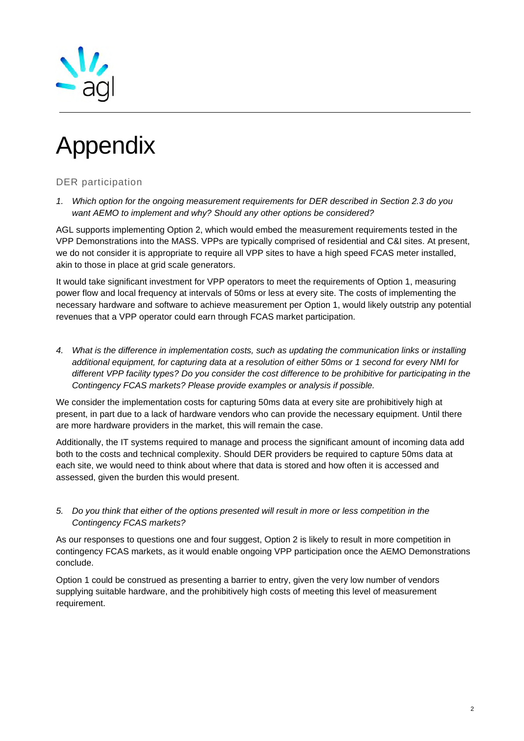

# Appendix

# DER participation

*1. Which option for the ongoing measurement requirements for DER described in Section 2.3 do you want AEMO to implement and why? Should any other options be considered?* 

AGL supports implementing Option 2, which would embed the measurement requirements tested in the VPP Demonstrations into the MASS. VPPs are typically comprised of residential and C&I sites. At present, we do not consider it is appropriate to require all VPP sites to have a high speed FCAS meter installed, akin to those in place at grid scale generators.

It would take significant investment for VPP operators to meet the requirements of Option 1, measuring power flow and local frequency at intervals of 50ms or less at every site. The costs of implementing the necessary hardware and software to achieve measurement per Option 1, would likely outstrip any potential revenues that a VPP operator could earn through FCAS market participation.

*4. What is the difference in implementation costs, such as updating the communication links or installing additional equipment, for capturing data at a resolution of either 50ms or 1 second for every NMI for different VPP facility types? Do you consider the cost difference to be prohibitive for participating in the Contingency FCAS markets? Please provide examples or analysis if possible.* 

We consider the implementation costs for capturing 50ms data at every site are prohibitively high at present, in part due to a lack of hardware vendors who can provide the necessary equipment. Until there are more hardware providers in the market, this will remain the case.

Additionally, the IT systems required to manage and process the significant amount of incoming data add both to the costs and technical complexity. Should DER providers be required to capture 50ms data at each site, we would need to think about where that data is stored and how often it is accessed and assessed, given the burden this would present.

*5. Do you think that either of the options presented will result in more or less competition in the Contingency FCAS markets?* 

As our responses to questions one and four suggest, Option 2 is likely to result in more competition in contingency FCAS markets, as it would enable ongoing VPP participation once the AEMO Demonstrations conclude.

Option 1 could be construed as presenting a barrier to entry, given the very low number of vendors supplying suitable hardware, and the prohibitively high costs of meeting this level of measurement requirement.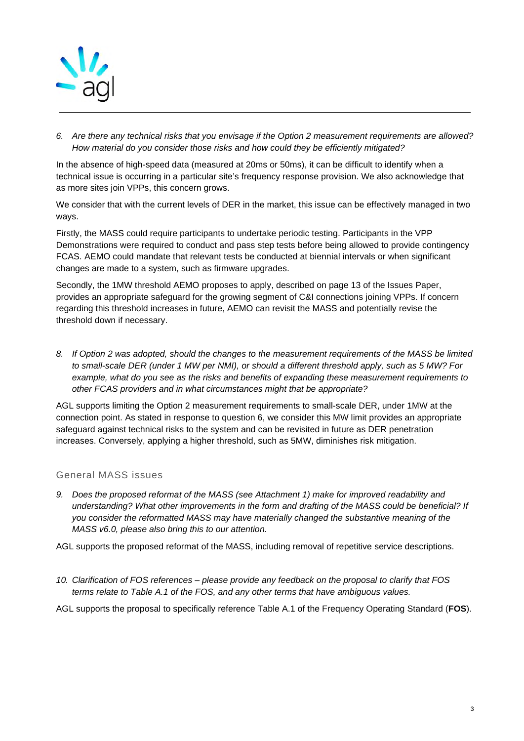

*6. Are there any technical risks that you envisage if the Option 2 measurement requirements are allowed? How material do you consider those risks and how could they be efficiently mitigated?* 

In the absence of high-speed data (measured at 20ms or 50ms), it can be difficult to identify when a technical issue is occurring in a particular site's frequency response provision. We also acknowledge that as more sites join VPPs, this concern grows.

We consider that with the current levels of DER in the market, this issue can be effectively managed in two ways.

Firstly, the MASS could require participants to undertake periodic testing. Participants in the VPP Demonstrations were required to conduct and pass step tests before being allowed to provide contingency FCAS. AEMO could mandate that relevant tests be conducted at biennial intervals or when significant changes are made to a system, such as firmware upgrades.

Secondly, the 1MW threshold AEMO proposes to apply, described on page 13 of the Issues Paper, provides an appropriate safeguard for the growing segment of C&I connections joining VPPs. If concern regarding this threshold increases in future, AEMO can revisit the MASS and potentially revise the threshold down if necessary.

*8. If Option 2 was adopted, should the changes to the measurement requirements of the MASS be limited to small-scale DER (under 1 MW per NMI), or should a different threshold apply, such as 5 MW? For example, what do you see as the risks and benefits of expanding these measurement requirements to other FCAS providers and in what circumstances might that be appropriate?* 

AGL supports limiting the Option 2 measurement requirements to small-scale DER, under 1MW at the connection point. As stated in response to question 6, we consider this MW limit provides an appropriate safeguard against technical risks to the system and can be revisited in future as DER penetration increases. Conversely, applying a higher threshold, such as 5MW, diminishes risk mitigation.

# General MASS issues

*9. Does the proposed reformat of the MASS (see Attachment 1) make for improved readability and understanding? What other improvements in the form and drafting of the MASS could be beneficial? If you consider the reformatted MASS may have materially changed the substantive meaning of the MASS v6.0, please also bring this to our attention.* 

AGL supports the proposed reformat of the MASS, including removal of repetitive service descriptions.

*10. Clarification of FOS references – please provide any feedback on the proposal to clarify that FOS terms relate to Table A.1 of the FOS, and any other terms that have ambiguous values.* 

AGL supports the proposal to specifically reference Table A.1 of the Frequency Operating Standard (**FOS**).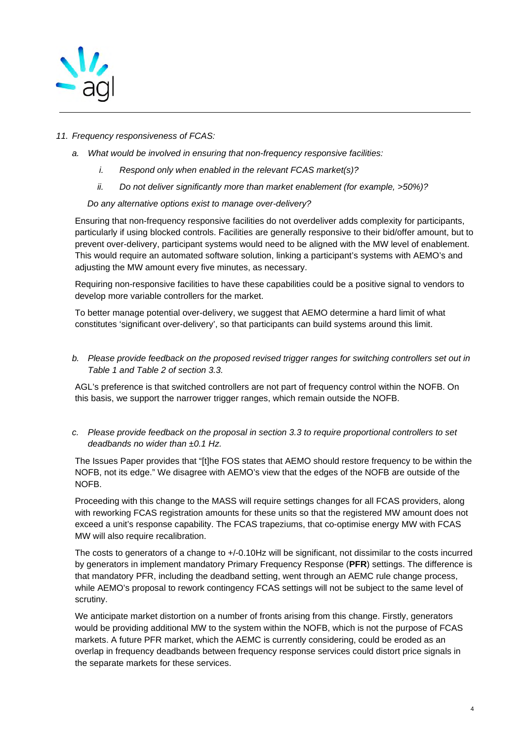

## *11. Frequency responsiveness of FCAS:*

- *a. What would be involved in ensuring that non-frequency responsive facilities:* 
	- *i. Respond only when enabled in the relevant FCAS market(s)?*
	- *ii. Do not deliver significantly more than market enablement (for example, >50%)?*

#### *Do any alternative options exist to manage over-delivery?*

Ensuring that non-frequency responsive facilities do not overdeliver adds complexity for participants, particularly if using blocked controls. Facilities are generally responsive to their bid/offer amount, but to prevent over-delivery, participant systems would need to be aligned with the MW level of enablement. This would require an automated software solution, linking a participant's systems with AEMO's and adjusting the MW amount every five minutes, as necessary.

Requiring non-responsive facilities to have these capabilities could be a positive signal to vendors to develop more variable controllers for the market.

To better manage potential over-delivery, we suggest that AEMO determine a hard limit of what constitutes 'significant over-delivery', so that participants can build systems around this limit.

*b. Please provide feedback on the proposed revised trigger ranges for switching controllers set out in Table 1 and Table 2 of section 3.3.* 

AGL's preference is that switched controllers are not part of frequency control within the NOFB. On this basis, we support the narrower trigger ranges, which remain outside the NOFB.

#### *c. Please provide feedback on the proposal in section 3.3 to require proportional controllers to set deadbands no wider than ±0.1 Hz.*

The Issues Paper provides that "[t]he FOS states that AEMO should restore frequency to be within the NOFB, not its edge." We disagree with AEMO's view that the edges of the NOFB are outside of the NOFB.

Proceeding with this change to the MASS will require settings changes for all FCAS providers, along with reworking FCAS registration amounts for these units so that the registered MW amount does not exceed a unit's response capability. The FCAS trapeziums, that co-optimise energy MW with FCAS MW will also require recalibration.

The costs to generators of a change to +/-0.10Hz will be significant, not dissimilar to the costs incurred by generators in implement mandatory Primary Frequency Response (**PFR**) settings. The difference is that mandatory PFR, including the deadband setting, went through an AEMC rule change process, while AEMO's proposal to rework contingency FCAS settings will not be subject to the same level of scrutiny.

We anticipate market distortion on a number of fronts arising from this change. Firstly, generators would be providing additional MW to the system within the NOFB, which is not the purpose of FCAS markets. A future PFR market, which the AEMC is currently considering, could be eroded as an overlap in frequency deadbands between frequency response services could distort price signals in the separate markets for these services.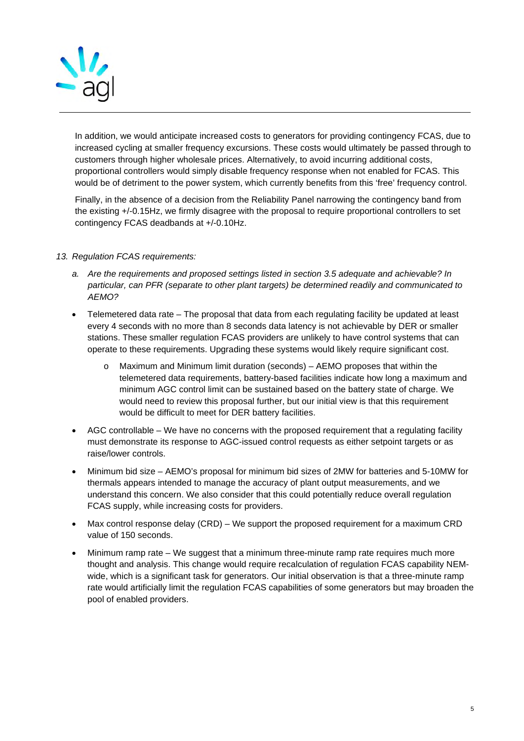

In addition, we would anticipate increased costs to generators for providing contingency FCAS, due to increased cycling at smaller frequency excursions. These costs would ultimately be passed through to customers through higher wholesale prices. Alternatively, to avoid incurring additional costs, proportional controllers would simply disable frequency response when not enabled for FCAS. This would be of detriment to the power system, which currently benefits from this 'free' frequency control.

Finally, in the absence of a decision from the Reliability Panel narrowing the contingency band from the existing +/-0.15Hz, we firmly disagree with the proposal to require proportional controllers to set contingency FCAS deadbands at +/-0.10Hz.

## *13. Regulation FCAS requirements:*

- *a. Are the requirements and proposed settings listed in section 3.5 adequate and achievable? In particular, can PFR (separate to other plant targets) be determined readily and communicated to AEMO?*
- Telemetered data rate The proposal that data from each regulating facility be updated at least every 4 seconds with no more than 8 seconds data latency is not achievable by DER or smaller stations. These smaller regulation FCAS providers are unlikely to have control systems that can operate to these requirements. Upgrading these systems would likely require significant cost.
	- o Maximum and Minimum limit duration (seconds) AEMO proposes that within the telemetered data requirements, battery-based facilities indicate how long a maximum and minimum AGC control limit can be sustained based on the battery state of charge. We would need to review this proposal further, but our initial view is that this requirement would be difficult to meet for DER battery facilities.
- AGC controllable We have no concerns with the proposed requirement that a regulating facility must demonstrate its response to AGC-issued control requests as either setpoint targets or as raise/lower controls.
- Minimum bid size AEMO's proposal for minimum bid sizes of 2MW for batteries and 5-10MW for thermals appears intended to manage the accuracy of plant output measurements, and we understand this concern. We also consider that this could potentially reduce overall regulation FCAS supply, while increasing costs for providers.
- Max control response delay (CRD) We support the proposed requirement for a maximum CRD value of 150 seconds.
- Minimum ramp rate We suggest that a minimum three-minute ramp rate requires much more thought and analysis. This change would require recalculation of regulation FCAS capability NEMwide, which is a significant task for generators. Our initial observation is that a three-minute ramp rate would artificially limit the regulation FCAS capabilities of some generators but may broaden the pool of enabled providers.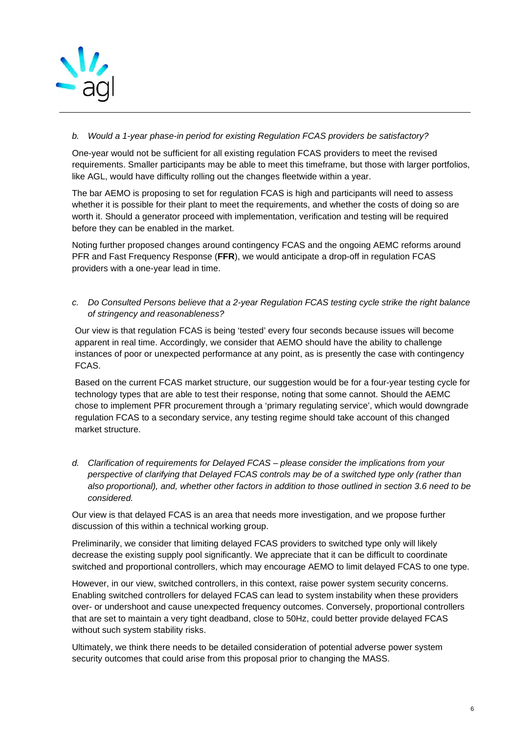

# *b. Would a 1-year phase-in period for existing Regulation FCAS providers be satisfactory?*

One-year would not be sufficient for all existing regulation FCAS providers to meet the revised requirements. Smaller participants may be able to meet this timeframe, but those with larger portfolios, like AGL, would have difficulty rolling out the changes fleetwide within a year.

The bar AEMO is proposing to set for regulation FCAS is high and participants will need to assess whether it is possible for their plant to meet the requirements, and whether the costs of doing so are worth it. Should a generator proceed with implementation, verification and testing will be required before they can be enabled in the market.

Noting further proposed changes around contingency FCAS and the ongoing AEMC reforms around PFR and Fast Frequency Response (**FFR**), we would anticipate a drop-off in regulation FCAS providers with a one-year lead in time.

*c. Do Consulted Persons believe that a 2-year Regulation FCAS testing cycle strike the right balance of stringency and reasonableness?* 

Our view is that regulation FCAS is being 'tested' every four seconds because issues will become apparent in real time. Accordingly, we consider that AEMO should have the ability to challenge instances of poor or unexpected performance at any point, as is presently the case with contingency FCAS.

Based on the current FCAS market structure, our suggestion would be for a four-year testing cycle for technology types that are able to test their response, noting that some cannot. Should the AEMC chose to implement PFR procurement through a 'primary regulating service', which would downgrade regulation FCAS to a secondary service, any testing regime should take account of this changed market structure.

*d. Clarification of requirements for Delayed FCAS – please consider the implications from your perspective of clarifying that Delayed FCAS controls may be of a switched type only (rather than also proportional), and, whether other factors in addition to those outlined in section 3.6 need to be considered.* 

Our view is that delayed FCAS is an area that needs more investigation, and we propose further discussion of this within a technical working group.

Preliminarily, we consider that limiting delayed FCAS providers to switched type only will likely decrease the existing supply pool significantly. We appreciate that it can be difficult to coordinate switched and proportional controllers, which may encourage AEMO to limit delayed FCAS to one type.

However, in our view, switched controllers, in this context, raise power system security concerns. Enabling switched controllers for delayed FCAS can lead to system instability when these providers over- or undershoot and cause unexpected frequency outcomes. Conversely, proportional controllers that are set to maintain a very tight deadband, close to 50Hz, could better provide delayed FCAS without such system stability risks.

Ultimately, we think there needs to be detailed consideration of potential adverse power system security outcomes that could arise from this proposal prior to changing the MASS.